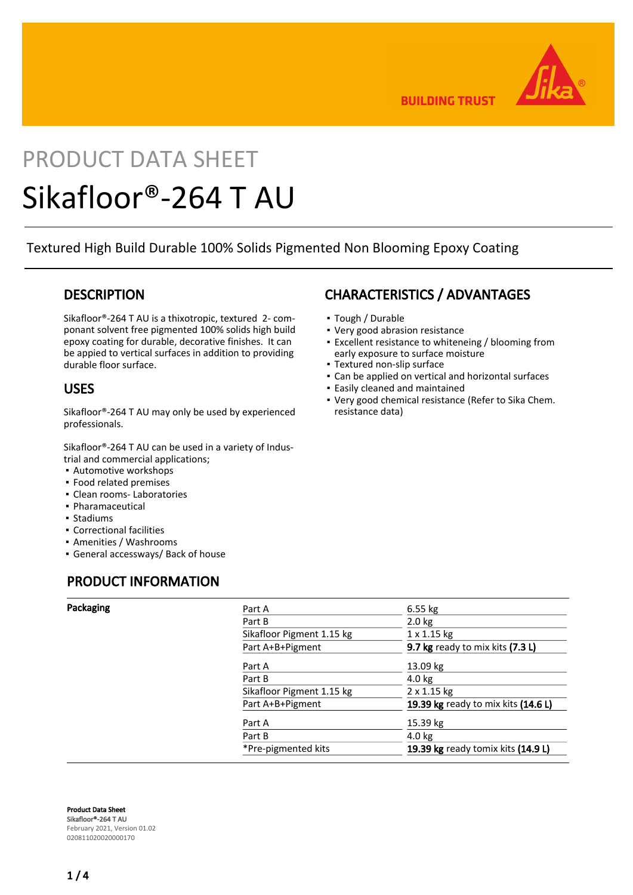

**BUILDING TRUST** 

# PRODUCT DATA SHEET Sikafloor®-264 T AU

Textured High Build Durable 100% Solids Pigmented Non Blooming Epoxy Coating

## **DESCRIPTION**

Sikafloor®-264 T AU is a thixotropic, textured 2- componant solvent free pigmented 100% solids high build epoxy coating for durable, decorative finishes. It can be appied to vertical surfaces in addition to providing durable floor surface.

## USES

Sikafloor®-264 T AU may only be used by experienced professionals.

Sikafloor®-264 T AU can be used in a variety of Industrial and commercial applications;

- Automotive workshops
- Food related premises
- Clean rooms- Laboratories
- Pharamaceutical
- Stadiums
- Correctional facilities
- Amenities / Washrooms
- General accessways/ Back of house

## PRODUCT INFORMATION

CHARACTERISTICS / ADVANTAGES

- Tough / Durable
- Very good abrasion resistance
- Excellent resistance to whiteneing / blooming from early exposure to surface moisture
- Textured non-slip surface
- Can be applied on vertical and horizontal surfaces
- Easily cleaned and maintained
- Very good chemical resistance (Refer to Sika Chem. resistance data)

| Packaging | Part A                    | $6.55$ kg                           |  |  |
|-----------|---------------------------|-------------------------------------|--|--|
|           | Part B                    | $2.0$ kg                            |  |  |
|           | Sikafloor Pigment 1.15 kg | $1 \times 1.15$ kg                  |  |  |
|           | Part A+B+Pigment          | 9.7 kg ready to mix kits (7.3 L)    |  |  |
|           | Part A                    | 13.09 $kg$                          |  |  |
|           | Part B                    | $4.0$ kg                            |  |  |
|           | Sikafloor Pigment 1.15 kg | 2 x 1.15 kg                         |  |  |
|           | Part A+B+Pigment          | 19.39 kg ready to mix kits (14.6 L) |  |  |
|           | Part A                    | 15.39 kg                            |  |  |
|           | Part B                    | $4.0$ kg                            |  |  |
|           | *Pre-pigmented kits       | 19.39 kg ready tomix kits (14.9 L)  |  |  |
|           |                           |                                     |  |  |

Product Data Sheet Sikafloor®-264 T AU February 2021, Version 01.02 020811020020000170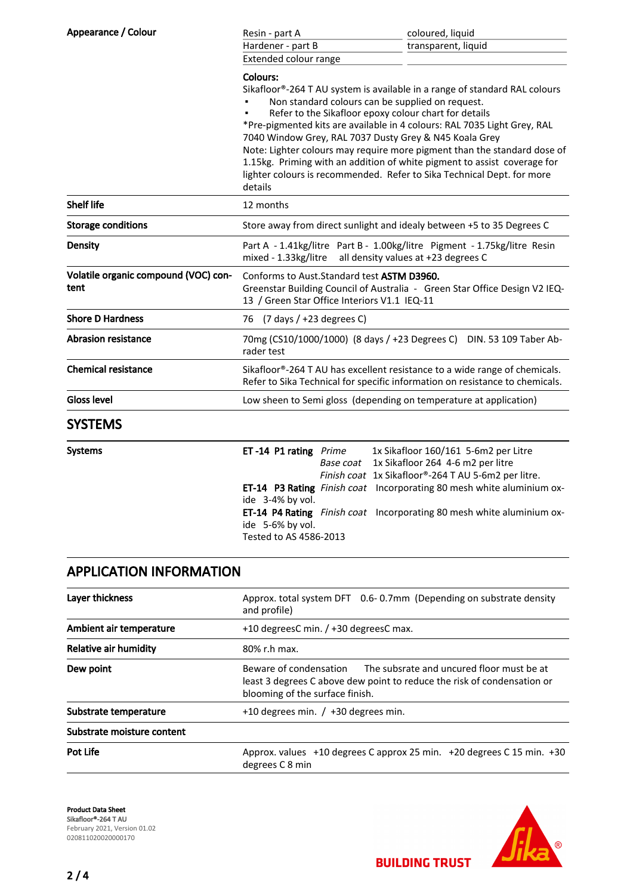| Appearance / Colour                          | Resin - part A                                                                                                                                                                                                                                                                                                                                                                                                                                                                                                                                                                         | coloured, liquid    |  |  |
|----------------------------------------------|----------------------------------------------------------------------------------------------------------------------------------------------------------------------------------------------------------------------------------------------------------------------------------------------------------------------------------------------------------------------------------------------------------------------------------------------------------------------------------------------------------------------------------------------------------------------------------------|---------------------|--|--|
|                                              | Hardener - part B                                                                                                                                                                                                                                                                                                                                                                                                                                                                                                                                                                      | transparent, liquid |  |  |
|                                              | Extended colour range                                                                                                                                                                                                                                                                                                                                                                                                                                                                                                                                                                  |                     |  |  |
|                                              | Colours:<br>Sikafloor®-264 T AU system is available in a range of standard RAL colours<br>Non standard colours can be supplied on request.<br>Refer to the Sikafloor epoxy colour chart for details<br>*Pre-pigmented kits are available in 4 colours: RAL 7035 Light Grey, RAL<br>7040 Window Grey, RAL 7037 Dusty Grey & N45 Koala Grey<br>Note: Lighter colours may require more pigment than the standard dose of<br>1.15kg. Priming with an addition of white pigment to assist coverage for<br>lighter colours is recommended. Refer to Sika Technical Dept. for more<br>details |                     |  |  |
| <b>Shelf life</b>                            | 12 months                                                                                                                                                                                                                                                                                                                                                                                                                                                                                                                                                                              |                     |  |  |
| <b>Storage conditions</b>                    | Store away from direct sunlight and idealy between +5 to 35 Degrees C                                                                                                                                                                                                                                                                                                                                                                                                                                                                                                                  |                     |  |  |
| Density                                      | Part A - 1.41kg/litre Part B - 1.00kg/litre Pigment - 1.75kg/litre Resin<br>mixed - 1.33kg/litre<br>all density values at +23 degrees C                                                                                                                                                                                                                                                                                                                                                                                                                                                |                     |  |  |
| Volatile organic compound (VOC) con-<br>tent | Conforms to Aust. Standard test ASTM D3960.<br>Greenstar Building Council of Australia - Green Star Office Design V2 IEQ-<br>13 / Green Star Office Interiors V1.1 IEQ-11                                                                                                                                                                                                                                                                                                                                                                                                              |                     |  |  |
| <b>Shore D Hardness</b>                      | 76 (7 days / +23 degrees C)                                                                                                                                                                                                                                                                                                                                                                                                                                                                                                                                                            |                     |  |  |
| <b>Abrasion resistance</b>                   | 70mg (CS10/1000/1000) (8 days / +23 Degrees C) DIN. 53 109 Taber Ab-<br>rader test                                                                                                                                                                                                                                                                                                                                                                                                                                                                                                     |                     |  |  |
| <b>Chemical resistance</b>                   | Sikafloor®-264 T AU has excellent resistance to a wide range of chemicals.<br>Refer to Sika Technical for specific information on resistance to chemicals.                                                                                                                                                                                                                                                                                                                                                                                                                             |                     |  |  |
| Gloss level                                  | Low sheen to Semi gloss (depending on temperature at application)                                                                                                                                                                                                                                                                                                                                                                                                                                                                                                                      |                     |  |  |
| <b>SYSTEMS</b>                               |                                                                                                                                                                                                                                                                                                                                                                                                                                                                                                                                                                                        |                     |  |  |

| <b>Systems</b> | ET-14 P1 rating Prime  | 1x Sikafloor 160/161 5-6m2 per Litre                                         |
|----------------|------------------------|------------------------------------------------------------------------------|
|                |                        | Base coat 1x Sikafloor 264 4-6 m2 per litre                                  |
|                |                        | Finish coat 1x Sikafloor®-264 T AU 5-6m2 per litre.                          |
|                |                        | ET-14 P3 Rating Finish coat Incorporating 80 mesh white aluminium ox-        |
|                | ide 3-4% by vol.       |                                                                              |
|                | ide 5-6% by vol.       | <b>ET-14 P4 Rating</b> Finish coat Incorporating 80 mesh white aluminium ox- |
|                | Tested to AS 4586-2013 |                                                                              |

# APPLICATION INFORMATION

| Layer thickness              | Approx. total system DFT 0.6-0.7mm (Depending on substrate density<br>and profile)                                                                                                |  |  |
|------------------------------|-----------------------------------------------------------------------------------------------------------------------------------------------------------------------------------|--|--|
| Ambient air temperature      | +10 degreesC min. / +30 degreesC max.                                                                                                                                             |  |  |
| <b>Relative air humidity</b> | 80% r.h max.                                                                                                                                                                      |  |  |
| Dew point                    | Beware of condensation<br>The subsrate and uncured floor must be at<br>least 3 degrees C above dew point to reduce the risk of condensation or<br>blooming of the surface finish. |  |  |
| Substrate temperature        | $+10$ degrees min. / $+30$ degrees min.                                                                                                                                           |  |  |
| Substrate moisture content   |                                                                                                                                                                                   |  |  |
| Pot Life                     | Approx. values +10 degrees C approx 25 min. +20 degrees C 15 min. +30<br>degrees C 8 min                                                                                          |  |  |

Product Data Sheet Sikafloor®-264 T AU February 2021, Version 01.02 020811020020000170



**BUILDING TRUST**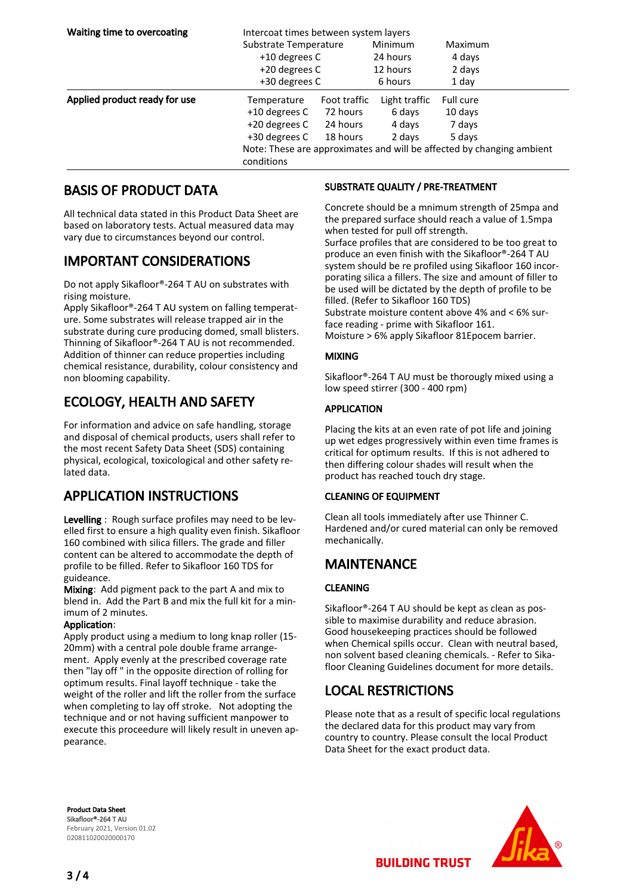| Waiting time to overcoating   | Intercoat times between system layers                                               |              |                                 |                             |  |
|-------------------------------|-------------------------------------------------------------------------------------|--------------|---------------------------------|-----------------------------|--|
|                               | Substrate Temperature<br>+10 degrees C<br>+20 degrees C                             |              | Minimum<br>24 hours<br>12 hours | Maximum<br>4 days<br>2 days |  |
|                               |                                                                                     |              |                                 |                             |  |
|                               |                                                                                     |              |                                 |                             |  |
|                               | +30 degrees C                                                                       |              | 6 hours                         | 1 day                       |  |
| Applied product ready for use | Temperature                                                                         | Foot traffic | Light traffic                   | Full cure                   |  |
|                               | +10 degrees C                                                                       | 72 hours     | 6 days                          | 10 days                     |  |
|                               | +20 degrees C                                                                       | 24 hours     | 4 days                          | 7 days                      |  |
|                               | +30 degrees C                                                                       | 18 hours     | 2 days                          | 5 days                      |  |
|                               | Note: These are approximates and will be affected by changing ambient<br>conditions |              |                                 |                             |  |

## BASIS OF PRODUCT DATA

All technical data stated in this Product Data Sheet are based on laboratory tests. Actual measured data may vary due to circumstances beyond our control.

## IMPORTANT CONSIDERATIONS

Do not apply Sikafloor®-264 T AU on substrates with rising moisture.

Apply Sikafloor®-264 T AU system on falling temperature. Some substrates will release trapped air in the substrate during cure producing domed, small blisters. Thinning of Sikafloor®-264 T AU is not recommended. Addition of thinner can reduce properties including chemical resistance, durability, colour consistency and non blooming capability.

# ECOLOGY, HEALTH AND SAFETY

For information and advice on safe handling, storage and disposal of chemical products, users shall refer to the most recent Safety Data Sheet (SDS) containing physical, ecological, toxicological and other safety related data.

## APPLICATION INSTRUCTIONS

Levelling : Rough surface profiles may need to be levelled first to ensure a high quality even finish. Sikafloor 160 combined with silica fillers. The grade and filler content can be altered to accommodate the depth of profile to be filled. Refer to Sikafloor 160 TDS for guideance.

Mixing: Add pigment pack to the part A and mix to blend in. Add the Part B and mix the full kit for a minimum of 2 minutes.

#### Application:

Apply product using a medium to long knap roller (15- 20mm) with a central pole double frame arrangement. Apply evenly at the prescribed coverage rate then "lay off " in the opposite direction of rolling for optimum results. Final layoff technique - take the weight of the roller and lift the roller from the surface when completing to lay off stroke. Not adopting the technique and or not having sufficient manpower to execute this proceedure will likely result in uneven appearance.

#### SUBSTRATE QUALITY / PRE-TREATMENT

Concrete should be a mnimum strength of 25mpa and the prepared surface should reach a value of 1.5mpa when tested for pull off strength. Surface profiles that are considered to be too great to produce an even finish with the Sikafloor®-264 T AU system should be re profiled using Sikafloor 160 incorporating silica a fillers. The size and amount of filler to be used will be dictated by the depth of profile to be filled. (Refer to Sikafloor 160 TDS) Substrate moisture content above 4% and < 6% surface reading - prime with Sikafloor 161.

Moisture > 6% apply Sikafloor 81Epocem barrier.

#### MIXING

Sikafloor®-264 T AU must be thorougly mixed using a low speed stirrer (300 - 400 rpm)

#### APPLICATION

Placing the kits at an even rate of pot life and joining up wet edges progressively within even time frames is critical for optimum results. If this is not adhered to then differing colour shades will result when the product has reached touch dry stage.

#### CLEANING OF EQUIPMENT

Clean all tools immediately after use Thinner C. Hardened and/or cured material can only be removed mechanically.

## MAINTENANCE

#### CLEANING

Sikafloor®-264 T AU should be kept as clean as possible to maximise durability and reduce abrasion. Good housekeeping practices should be followed when Chemical spills occur. Clean with neutral based, non solvent based cleaning chemicals. - Refer to Sikafloor Cleaning Guidelines document for more details.

## LOCAL RESTRICTIONS

Please note that as a result of specific local regulations the declared data for this product may vary from country to country. Please consult the local Product Data Sheet for the exact product data.

Product Data Sheet Sikafloor®-264 T AU February 2021, Version 01.02 020811020020000170



**BUILDING TRUST**